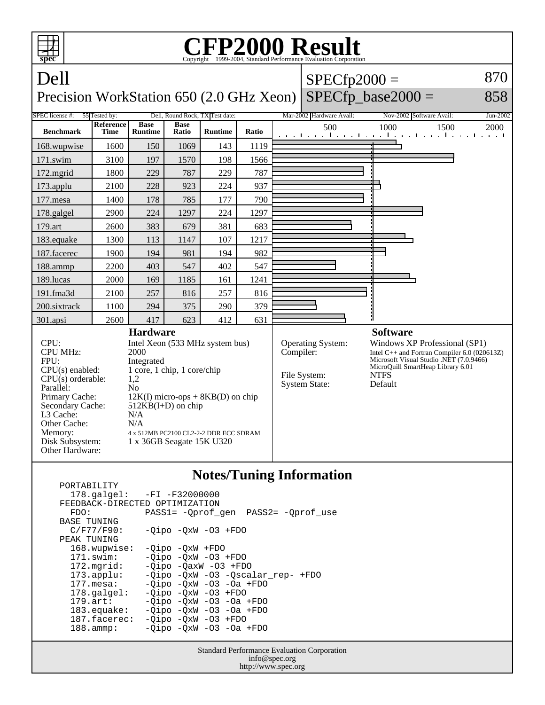

## **Notes/Tuning Information**

 PORTABILITY 178.galgel: -FI -F32000000 FEEDBACK-DIRECTED OPTIMIZATION<br>FDO: PASS1= -Oprof FDO: PASS1= -Qprof\_gen PASS2= -Qprof\_use BASE TUNING  $C/F77/F90: -Qipo -QxW -O3 + FDO$ PEAK TUNING<br>168.wupwise: 168.wupwise: -Qipo -QxW +FDO<br>171.swim: -Oipo -OxW -O3 -Qipo -QxW -O3 +FDO 172.mgrid: -Qipo -QaxW -O3 +FDO 173.applu: -Qipo -QxW -O3 -Qscalar\_rep- +FDO 177.mesa: -Qipo -QxW -O3 -Oa +FDO<br>178.galgel: -Qipo -QxW -O3 +FDO 178.galgel: - Qipo - QxW - 03 + FDO<br>179.art: - Oipo - OxW - 03 - Oa 179.art: - Qipo - QxW - 03 - 0a + FDO<br>183.equake: - Qipo - QxW - 03 - 0a + FDO  $-Qipo -QxW -O3 -Oa +FDO$  187.facerec: -Qipo -QxW -O3 +FDO 188.ammp: -Qipo -QxW -O3 -Oa +FDO

> Standard Performance Evaluation Corporation info@spec.org http://www.spec.org